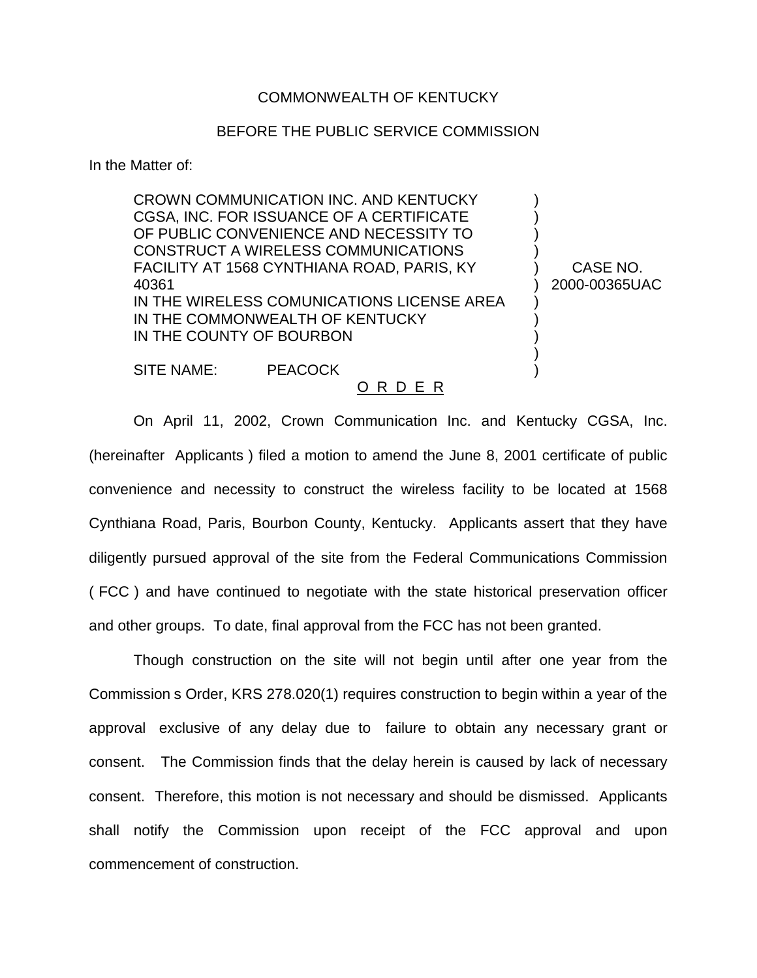## COMMONWEALTH OF KENTUCKY

## BEFORE THE PUBLIC SERVICE COMMISSION

In the Matter of:

CROWN COMMUNICATION INC. AND KENTUCKY ) CGSA, INC. FOR ISSUANCE OF A CERTIFICATE ) OF PUBLIC CONVENIENCE AND NECESSITY TO ) CONSTRUCT A WIRELESS COMMUNICATIONS ) FACILITY AT 1568 CYNTHIANA ROAD, PARIS, KY (CASE NO. 40361 ) 2000-00365UAC IN THE WIRELESS COMUNICATIONS LICENSE AREA IN THE COMMONWEALTH OF KENTUCKY IN THE COUNTY OF BOURBON )

SITE NAME: PEACOCK (1999)

## O R D E R

On April 11, 2002, Crown Communication Inc. and Kentucky CGSA, Inc. (hereinafter Applicants ) filed a motion to amend the June 8, 2001 certificate of public convenience and necessity to construct the wireless facility to be located at 1568 Cynthiana Road, Paris, Bourbon County, Kentucky. Applicants assert that they have diligently pursued approval of the site from the Federal Communications Commission ( FCC ) and have continued to negotiate with the state historical preservation officer and other groups. To date, final approval from the FCC has not been granted.

Though construction on the site will not begin until after one year from the Commission s Order, KRS 278.020(1) requires construction to begin within a year of the approval exclusive of any delay due to failure to obtain any necessary grant or consent. The Commission finds that the delay herein is caused by lack of necessary consent. Therefore, this motion is not necessary and should be dismissed. Applicants shall notify the Commission upon receipt of the FCC approval and upon commencement of construction.